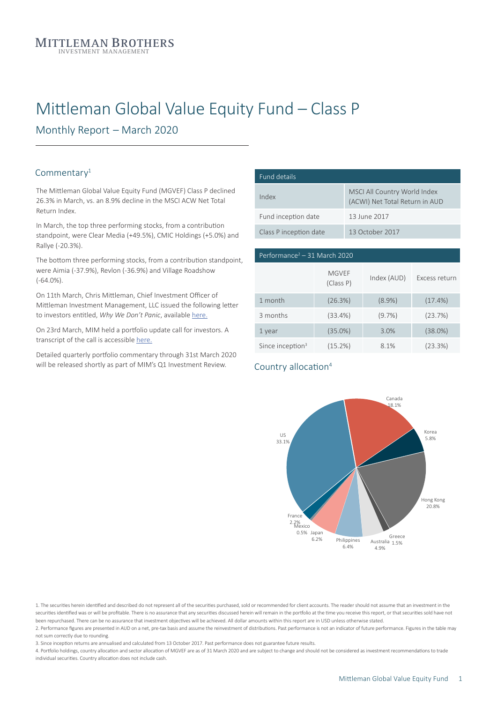# Mittleman Global Value Equity Fund – Class P

Monthly Report – March 2020

#### Commentary<sup>1</sup>

The Mittleman Global Value Equity Fund (MGVEF) Class P declined 26.3% in March, vs. an 8.9% decline in the MSCI ACW Net Total Return Index.

In March, the top three performing stocks, from a contribution standpoint, were Clear Media (+49.5%), CMIC Holdings (+5.0%) and Rallye (-20.3%).

The bottom three performing stocks, from a contribution standpoint, were Aimia (-37.9%), Revlon (-36.9%) and Village Roadshow (-64.0%).

On 11th March, Chris Mittleman, Chief Investment Officer of Mittleman Investment Management, LLC issued the following letter to investors entitled, *Why We Don't Panic*, available [here.](https://brookvine.com.au/wp-content/uploads/202003_MIM_Why-we-dont-panic.pdf)

On 23rd March, MIM held a portfolio update call for investors. A transcript of the call is accessible [here.](https://files.constantcontact.com/7da71a1c601/90a501f5-5dcc-4181-9237-6ee37f8dc78a.pdf)

Detailed quarterly portfolio commentary through 31st March 2020 will be released shortly as part of MIM's Q1 Investment Review.

| Fund details           |                                                                |  |  |  |
|------------------------|----------------------------------------------------------------|--|--|--|
| Index                  | MSCI All Country World Index<br>(ACWI) Net Total Return in AUD |  |  |  |
| Fund inception date    | 13 June 2017                                                   |  |  |  |
| Class P inception date | 13 October 2017                                                |  |  |  |

| Performance <sup>2</sup> – 31 March 2020 |                           |             |               |  |  |
|------------------------------------------|---------------------------|-------------|---------------|--|--|
|                                          | <b>MGVEF</b><br>(Class P) | Index (AUD) | Excess return |  |  |
| 1 month                                  | (26.3%)                   | $(8.9\%)$   | (17.4%)       |  |  |
| 3 months                                 | (33.4%)                   | $(9.7\%)$   | (23.7%)       |  |  |
| 1 year                                   | $(35.0\%)$                | 3.0%        | (38.0%)       |  |  |
| Since inception $3$                      | (15.2%)                   | 8.1%        | (23.3%)       |  |  |

#### Country allocation<sup>4</sup>



1. The securities herein identified and described do not represent all of the securities purchased, sold or recommended for client accounts. The reader should not assume that an investment in the securities identified was or will be profitable. There is no assurance that any securities discussed herein will remain in the portfolio at the time you receive this report, or that securities sold have not been repurchased. There can be no assurance that investment objectives will be achieved. All dollar amounts within this report are in USD unless otherwise stated. 2. Performance figures are presented in AUD on a net, pre-tax basis and assume the reinvestment of distributions. Past performance is not an indicator of future performance. Figures in the table may

not sum correctly due to rounding. 3. Since inception returns are annualised and calculated from 13 October 2017. Past performance does not guarantee future results.

4. Portfolio holdings, country allocation and sector allocation of MGVEF are as of 31 March 2020 and are subject to change and should not be considered as investment recommendations to trade individual securities. Country allocation does not include cash.